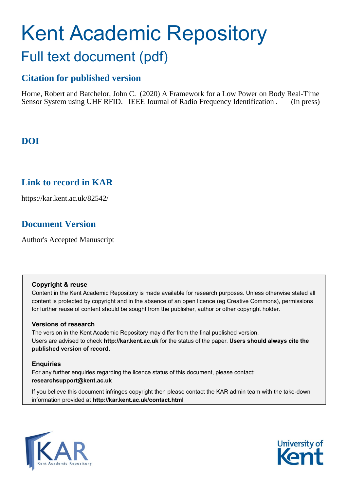# Kent Academic Repository Full text document (pdf)

## **Citation for published version**

Horne, Robert and Batchelor, John C. (2020) A Framework for a Low Power on Body Real-Time Sensor System using UHF RFID. IEEE Journal of Radio Frequency Identification . (In press)

## **DOI**

### **Link to record in KAR**

https://kar.kent.ac.uk/82542/

## **Document Version**

Author's Accepted Manuscript

#### **Copyright & reuse**

Content in the Kent Academic Repository is made available for research purposes. Unless otherwise stated all content is protected by copyright and in the absence of an open licence (eg Creative Commons), permissions for further reuse of content should be sought from the publisher, author or other copyright holder.

#### **Versions of research**

The version in the Kent Academic Repository may differ from the final published version. Users are advised to check **http://kar.kent.ac.uk** for the status of the paper. **Users should always cite the published version of record.**

#### **Enquiries**

For any further enquiries regarding the licence status of this document, please contact: **researchsupport@kent.ac.uk**

If you believe this document infringes copyright then please contact the KAR admin team with the take-down information provided at **http://kar.kent.ac.uk/contact.html**



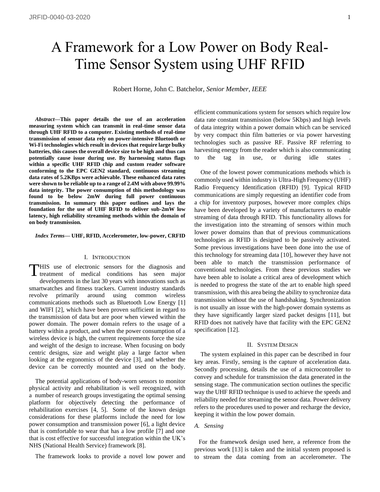## A Framework for a Low Power on Body Real-Time Sensor System using UHF RFID

Robert Horne, John C. Batchelor, *Senior Member, IEEE*

*Abstract***—This paper details the use of an acceleration measuring system which can transmit in real-time sensor data through UHF RFID to a computer. Existing methods of real-time transmission of sensor data rely on power-intensive Bluetooth or Wi-Fi technologies which result in devices that require large bulky batteries, this causes the overall device size to be high and thus can potentially cause issue during use. By harnessing status flags within a specific UHF RFID chip and custom reader software conforming to the EPC GEN2 standard, continuous streaming data rates of 5.2KBps were achievable. These enhanced data rates were shown to be reliable up to a range of 2.4M with above 99.99% data integrity. The power consumption of this methodology was found to be below 2mW during full power continuous transmission. In summary this paper outlines and lays the foundation for the use of UHF RFID to deliver sub-2mW low latency, high reliability streaming methods within the domain of on body transmission.** 

*Index Terms***— UHF, RFID, Accelerometer, low-power, CRFID**

#### I. INTRODUCTION

HIS use of electronic sensors for the diagnosis and THIS use of electronic sensors for the diagnosis and treatment of medical conditions has seen major developments in the last 30 years with innovations such as smartwatches and fitness trackers. Current industry standards revolve primarily around using common wireless communications methods such as Bluetooth Low Energy [1] and WIFI [2], which have been proven sufficient in regard to the transmission of data but are poor when viewed within the power domain. The power domain refers to the usage of a battery within a product, and when the power consumption of a wireless device is high, the current requirements force the size and weight of the design to increase. When focusing on body centric designs, size and weight play a large factor when looking at the ergonomics of the device [3], and whether the device can be correctly mounted and used on the body.

 The potential applications of body-worn sensors to monitor physical activity and rehabilitation is well recognized, with a number of research groups investigating the optimal sensing platform for objectively detecting the performance of rehabilitation exercises [4, 5]. Some of the known design considerations for these platforms include the need for low power consumption and transmission power [6], a light device that is comfortable to wear that has a low profile [7] and one that is cost effective for successful integration within the UK's NHS (National Health Service) framework [8].

The framework looks to provide a novel low power and

efficient communications system for sensors which require low data rate constant transmission (below 5Kbps) and high levels of data integrity within a power domain which can be serviced by very compact thin film batteries or via power harvesting technologies such as passive RF. Passive RF referring to harvesting energy from the reader which is also communicating to the tag in use, or during idle states

 One of the lowest power communications methods which is commonly used within industry is Ultra-High Frequency (UHF) Radio Frequency Identification (RFID) [9]. Typical RFID communications are simply requesting an identifier code from a chip for inventory purposes, however more complex chips have been developed by a variety of manufacturers to enable streaming of data through RFID. This functionality allows for the investigation into the streaming of sensors within much lower power domains than that of previous communications technologies as RFID is designed to be passively activated. Some previous investigations have been done into the use of this technology for streaming data [10], however they have not been able to match the transmission performance of conventional technologies. From these previous studies we have been able to isolate a critical area of development which is needed to progress the state of the art to enable high speed transmission, with this area being the ability to synchronize data transmission without the use of handshaking. Synchronization is not usually an issue with the high-power domain systems as they have significantly larger sized packet designs [11], but RFID does not natively have that facility with the EPC GEN2 specification [12].

#### II. SYSTEM DESIGN

The system explained in this paper can be described in four key areas. Firstly, sensing is the capture of acceleration data. Secondly processing, details the use of a microcontroller to convey and schedule for transmission the data generated in the sensing stage. The communication section outlines the specific way the UHF RFID technique is used to achieve the speeds and reliability needed for streaming the sensor data. Power delivery refers to the procedures used to power and recharge the device, keeping it within the low power domain.

#### *A. Sensing*

For the framework design used here, a reference from the previous work [13] is taken and the initial system proposed is to stream the data coming from an accelerometer. The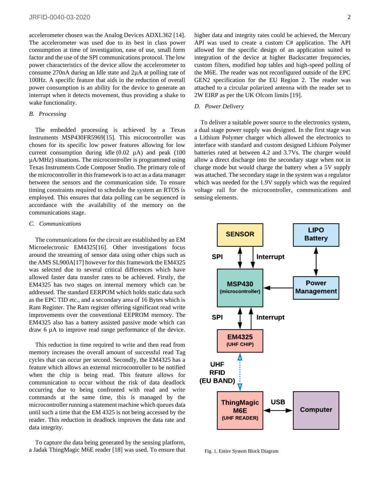accelerometer chosen was the Analog Devices ADXL362 [14]. The accelerometer was used due to its best in class power consumption at time of investigation, ease of use, small form factor and the use of the SPI communications protocol. The low power characteristics of the device allow the accelerometer to consume 270nA during an Idle state and 2µA at polling rate of 100Hz. A specific feature that aids in the reduction of overall power consumption is an ability for the device to generate an interrupt when it detects movement, thus providing a shake to wake functionality.

#### *B. Processing*

The embedded processing is achieved by a Texas Instruments MSP430FR5969[15]. This microcontroller was chosen for its specific low power features allowing for low current consumption during idle  $(0.02 \mu A)$  and peak  $(100 \mu A)$ µA/MHz) situations. The microcontroller is programmed using Texas Instruments Code Composer Studio. The primary role of the microcontroller in this framework is to act as a data manager between the sensors and the communication side. To ensure timing constraints required to schedule the system an RTOS is employed. This ensures that data polling can be sequenced in accordance with the availability of the memory on the communications stage.

#### *C. Communications*

The communications for the circuit are established by an EM Microelectronic EM4325[16]. Other investigations focus around the streaming of sensor data using other chips such as the AMS SL900A[17] however for this framework the EM4325 was selected due to several critical differences which have allowed faster data transfer rates to be achieved. Firstly, the EM4325 has two stages on internal memory which can be addressed. The standard EERPOM which holds static data such as the EPC TID etc., and a secondary area of 16 Bytes which is Ram Register. The Ram register offering significant read write improvements over the conventional EEPROM memory. The EM4325 also has a battery assisted passive mode which can draw 6 µA to improve read range performance of the device.

 This reduction in time required to write and then read from memory increases the overall amount of successful read Tag cycles that can occur per second. Secondly, the EM4325 has a feature which allows an external microcontroller to be notified when the chip is being read. This feature allows for communication to occur without the risk of data deadlock occurring due to being confronted with read and write commands at the same time, this is managed by the microcontroller running a statement machine which queues data until such a time that the EM 4325 is not being accessed by the reader. This reduction in deadlock improves the data rate and data integrity.

To capture the data being generated by the sensing platform, a Jadak ThingMagic M6E reader [18] was used. To ensure that higher data and integrity rates could be achieved, the Mercury API was used to create a custom C# application. The API allowed for the specific design of an application suited to integration of the device at higher Backscatter frequencies, custom filters, modified hop tables and high-speed polling of the M6E. The reader was not reconfigured outside of the EPC GEN2 specification for the EU Region 2. The reader was attached to a circular polarized antenna with the reader set to 2W EIRP as per the UK Ofcom limits [19].

#### *D. Power Delivery*

To deliver a suitable power source to the electronics system, a dual stage power supply was designed. In the first stage was a Lithium Polymer charger which allowed the electronics to interface with standard and custom designed Lithium Polymer batteries rated at between 4.2 and 3.7Vs. The charger would allow a direct discharge into the secondary stage when not in charge mode but would charge the battery when a 5V supply was attached. The secondary stage in the system was a regulator which was needed for the 1.9V supply which was the required voltage rail for the microcontroller, communications and sensing elements.



Fig. 1. Entire System Block Diagram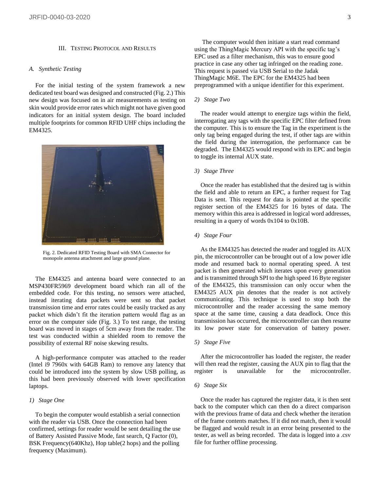#### III. TESTING PROTOCOL AND RESULTS

#### *A. Synthetic Testing*

For the initial testing of the system framework a new dedicated test board was designed and constructed (Fig. 2.) This new design was focused on in air measurements as testing on skin would provide error rates which might not have given good indicators for an initial system design. The board included multiple footprints for common RFID UHF chips including the EM4325.



Fig. 2. Dedicated RFID Testing Board with SMA Connector for monopole antenna attachment and large ground plane.

The EM4325 and antenna board were connected to an MSP430FR5969 development board which ran all of the embedded code. For this testing, no sensors were attached, instead iterating data packets were sent so that packet transmission time and error rates could be easily tracked as any packet which didn't fit the iteration pattern would flag as an error on the computer side (Fig. 3.) To test range, the testing board was moved in stages of 5cm away from the reader. The test was conducted within a shielded room to remove the possibility of external RF noise skewing results.

A high-performance computer was attached to the reader (Intel i9 7960x with 64GB Ram) to remove any latency that could be introduced into the system by slow USB polling, as this had been previously observed with lower specification laptops.

#### *1) Stage One*

To begin the computer would establish a serial connection with the reader via USB. Once the connection had been confirmed, settings for reader would be sent detailing the use of Battery Assisted Passive Mode, fast search, Q Factor (0), BSK Frequency(640Khz), Hop table(2 hops) and the polling frequency (Maximum).

The computer would then initiate a start read command using the ThingMagic Mercury API with the specific tag's EPC used as a filter mechanism, this was to ensure good practice in case any other tag infringed on the reading zone. This request is passed via USB Serial to the Jadak ThingMagic M6E. The EPC for the EM4325 had been preprogrammed with a unique identifier for this experiment.

#### *2) Stage Two*

The reader would attempt to energize tags within the field, interrogating any tags with the specific EPC filter defined from the computer. This is to ensure the Tag in the experiment is the only tag being engaged during the test, if other tags are within the field during the interrogation, the performance can be degraded. The EM4325 would respond with its EPC and begin to toggle its internal AUX state.

#### *3) Stage Three*

Once the reader has established that the desired tag is within the field and able to return an EPC, a further request for Tag Data is sent. This request for data is pointed at the specific register section of the EM4325 for 16 bytes of data. The memory within this area is addressed in logical word addresses, resulting in a query of words 0x104 to 0x10B.

#### *4) Stage Four*

As the EM4325 has detected the reader and toggled its AUX pin, the microcontroller can be brought out of a low power idle mode and resumed back to normal operating speed. A test packet is then generated which iterates upon every generation and is transmitted through SPI to the high speed 16 Byte register of the EM4325, this transmission can only occur when the EM4325 AUX pin denotes that the reader is not actively communicating. This technique is used to stop both the microcontroller and the reader accessing the same memory space at the same time, causing a data deadlock. Once this transmission has occurred, the microcontroller can then resume its low power state for conservation of battery power.

#### *5) Stage Five*

After the microcontroller has loaded the register, the reader will then read the register, causing the AUX pin to flag that the register is unavailable for the microcontroller.

#### *6) Stage Six*

Once the reader has captured the register data, it is then sent back to the computer which can then do a direct comparison with the previous frame of data and check whether the iteration of the frame contents matches. If it did not match, then it would be flagged and would result in an error being presented to the tester, as well as being recorded. The data is logged into a .csv file for further offline processing.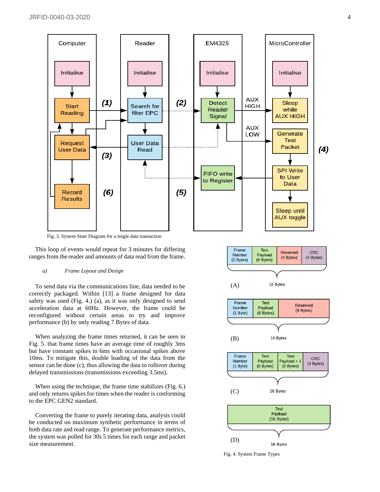

Fig. 3. System State Diagram for a single data transaction

This loop of events would repeat for 3 minutes for differing ranges from the reader and amounts of data read from the frame.

#### *a) Frame Layout and Design*

To send data via the communications line, data needed to be correctly packaged. Within [13] a frame designed for data safety was used (Fig. 4.) (a), as it was only designed to send acceleration data at 60Hz. However, the frame could be reconfigured without certain areas to try and improve performance (b) by only reading 7 Bytes of data.

When analyzing the frame times returned, it can be seen in Fig. 5. that frame times have an average time of roughly 3ms but have constant spikes to 6ms with occasional spikes above 10ms. To mitigate this, double loading of the data from the sensor can be done (c), thus allowing the data to rollover during delayed transmissions (transmissions exceeding 3.5ms).

 When using the technique, the frame time stabilizes (Fig. 6.) and only returns spikes for times when the reader is conforming to the EPC GEN2 standard.

Converting the frame to purely iterating data, analysis could be conducted on maximum synthetic performance in terms of both data rate and read range. To generate performance metrics, the system was polled for 30s 5 times for each range and packet size measurement.



Fig. 4. System Frame Types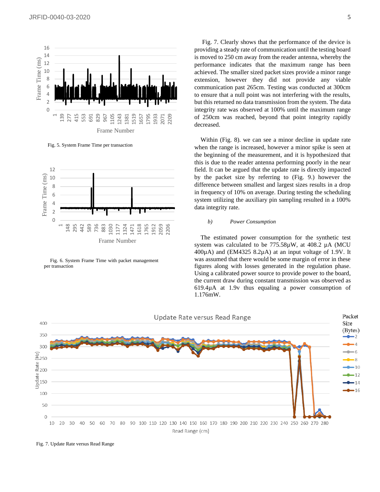

Fig. 5. System Frame Time per transaction



Fig. 6. System Frame Time with packet management per transaction

 Fig. 7. Clearly shows that the performance of the device is providing a steady rate of communication until the testing board is moved to 250 cm away from the reader antenna, whereby the performance indicates that the maximum range has been achieved. The smaller sized packet sizes provide a minor range extension, however they did not provide any viable communication past 265cm. Testing was conducted at 300cm to ensure that a null point was not interfering with the results, but this returned no data transmission from the system. The data integrity rate was observed at 100% until the maximum range of 250cm was reached, beyond that point integrity rapidly decreased.

 Within (Fig. 8). we can see a minor decline in update rate when the range is increased, however a minor spike is seen at the beginning of the measurement, and it is hypothesized that this is due to the reader antenna performing poorly in the near field. It can be argued that the update rate is directly impacted by the packet size by referring to (Fig. 9.) however the difference between smallest and largest sizes results in a drop in frequency of 10% on average. During testing the scheduling system utilizing the auxiliary pin sampling resulted in a 100% data integrity rate.

#### *b) Power Consumption*

The estimated power consumption for the synthetic test system was calculated to be 775.58µW, at 408.2 µA (MCU)  $400\mu$ A) and (EM4325 8.2 $\mu$ A) at an input voltage of 1.9V. It was assumed that there would be some margin of error in these figures along with losses generated in the regulation phase. Using a calibrated power source to provide power to the board, the current draw during constant transmission was observed as 619.4µA at 1.9v thus equaling a power consumption of 1.176mW.



Fig. 7. Update Rate versus Read Range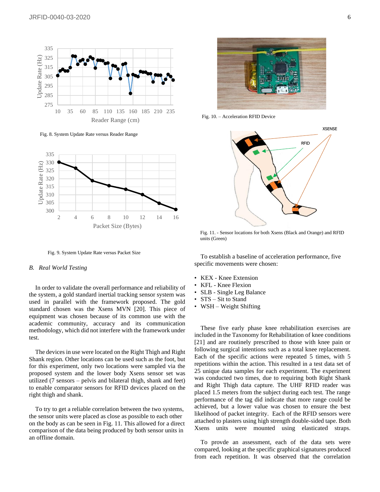

Fig. 8. System Update Rate versus Reader Range



Fig. 9. System Update Rate versus Packet Size

#### *B. Real World Testing*

In order to validate the overall performance and reliability of the system, a gold standard inertial tracking sensor system was used in parallel with the framework proposed. The gold standard chosen was the Xsens MVN [20]. This piece of equipment was chosen because of its common use with the academic community, accuracy and its communication methodology, which did not interfere with the framework under test.

 The devices in use were located on the Right Thigh and Right Shank region. Other locations can be used such as the foot, but for this experiment, only two locations were sampled via the proposed system and the lower body Xsens sensor set was utilized (7 sensors – pelvis and bilateral thigh, shank and feet) to enable comparator sensors for RFID devices placed on the right thigh and shank.

To try to get a reliable correlation between the two systems, the sensor units were placed as close as possible to each other on the body as can be seen in Fig. 11. This allowed for a direct comparison of the data being produced by both sensor units in an offline domain.



Fig. 10. – Acceleration RFID Device



Fig. 11. - Sensor locations for both Xsens (Black and Orange) and RFID units (Green)

To establish a baseline of acceleration performance, five specific movements were chosen:

- KEX Knee Extension
- KFL Knee Flexion
- SLB Single Leg Balance
- STS Sit to Stand
- WSH Weight Shifting

These five early phase knee rehabilitation exercises are included in the Taxonomy for Rehabilitation of knee conditions [21] and are routinely prescribed to those with knee pain or following surgical intentions such as a total knee replacement. Each of the specific actions were repeated 5 times, with 5 repetitions within the action. This resulted in a test data set of 25 unique data samples for each experiment. The experiment was conducted two times, due to requiring both Right Shank and Right Thigh data capture. The UHF RFID reader was placed 1.5 meters from the subject during each test. The range performance of the tag did indicate that more range could be achieved, but a lower value was chosen to ensure the best likelihood of packet integrity. Each of the RFID sensors were attached to plasters using high strength double-sided tape. Both Xsens units were mounted using elasticated straps.

 To provde an assessment, each of the data sets were compared, looking at the specific graphical signatures produced from each repetition. It was observed that the correlation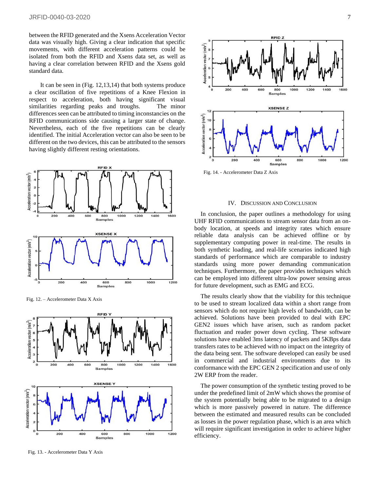between the RFID generated and the Xsens Acceleration Vector data was visually high. Giving a clear indication that specific movements, with different acceleration patterns could be isolated from both the RFID and Xsens data set, as well as having a clear correlation between RFID and the Xsens gold standard data.

It can be seen in (Fig. 12,13,14) that both systems produce a clear oscillation of five repetitions of a Knee Flexion in respect to acceleration, both having significant visual similarities regarding peaks and troughs. The minor differences seen can be attributed to timing inconstancies on the RFID communications side causing a larger state of change. Nevertheless, each of the five repetitions can be clearly identified. The initial Acceleration vector can also be seen to be different on the two devices, this can be attributed to the sensors having slightly different resting orientations.



Fig. 12. – Accelerometer Data X Axis



Fig. 13. - Accelerometer Data Y Axis



Fig. 14. - Accelerometer Data Z Axis

#### IV. DISCUSSION AND CONCLUSION

In conclusion, the paper outlines a methodology for using UHF RFID communications to stream sensor data from an onbody location, at speeds and integrity rates which ensure reliable data analysis can be achieved offline or by supplementary computing power in real-time. The results in both synthetic loading, and real-life scenarios indicated high standards of performance which are comparable to industry standards using more power demanding communication techniques. Furthermore, the paper provides techniques which can be employed into different ultra-low power sensing areas for future development, such as EMG and ECG.

The results clearly show that the viability for this technique to be used to stream localized data within a short range from sensors which do not require high levels of bandwidth, can be achieved. Solutions have been provided to deal with EPC GEN2 issues which have arisen, such as random packet fluctuation and reader power down cycling. These software solutions have enabled 3ms latency of packets and 5KBps data transfers rates to be achieved with no impact on the integrity of the data being sent. The software developed can easily be used in commercial and industrial environments due to its conformance with the EPC GEN 2 specification and use of only 2W ERP from the reader.

The power consumption of the synthetic testing proved to be under the predefined limit of 2mW which shows the promise of the system potentially being able to be migrated to a design which is more passively powered in nature. The difference between the estimated and measured results can be concluded as losses in the power regulation phase, which is an area which will require significant investigation in order to achieve higher efficiency.